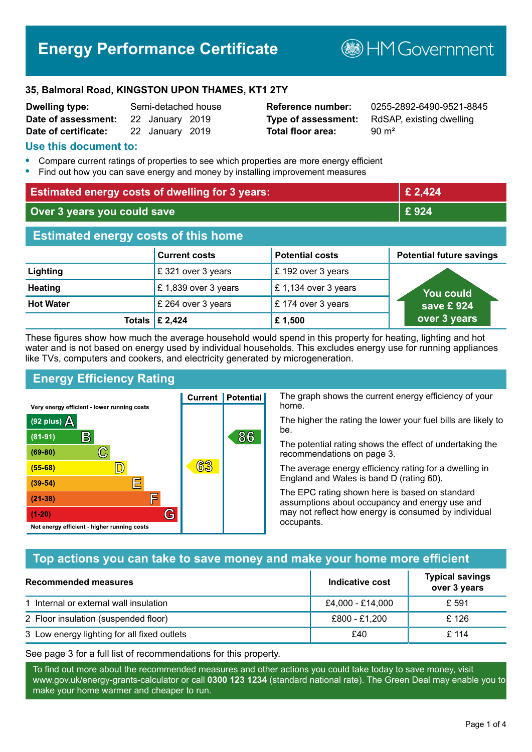# **Energy Performance Certificate**

**B**HM Government

#### **35, Balmoral Road, KINGSTON UPON THAMES, KT1 2TY**

| <b>Dwelling type:</b> | Semi-detached house |                 |  |
|-----------------------|---------------------|-----------------|--|
| Date of assessment:   |                     | 22 January 2019 |  |
| Date of certificate:  |                     | 22 January 2019 |  |

# **Total floor area:** 90 m<sup>2</sup>

**Reference number:** 0255-2892-6490-9521-8845 **Type of assessment:** RdSAP, existing dwelling

#### **Use this document to:**

- **•** Compare current ratings of properties to see which properties are more energy efficient
- **•** Find out how you can save energy and money by installing improvement measures

| <b>Estimated energy costs of dwelling for 3 years:</b> |                           | £ 2,424                |                                 |
|--------------------------------------------------------|---------------------------|------------------------|---------------------------------|
| Over 3 years you could save                            |                           | £924                   |                                 |
| <b>Estimated energy costs of this home</b>             |                           |                        |                                 |
|                                                        | <b>Current costs</b>      | <b>Potential costs</b> | <b>Potential future savings</b> |
| Lighting                                               | £321 over 3 years         | £192 over 3 years      |                                 |
| <b>Heating</b>                                         | £1,839 over 3 years       | £1,134 over 3 years    | <b>You could</b>                |
| <b>Hot Water</b>                                       | £ 264 over 3 years        | £174 over 3 years      | save £924                       |
|                                                        | Totals $\mathsf{E}$ 2,424 | £1,500                 | over 3 years                    |

These figures show how much the average household would spend in this property for heating, lighting and hot water and is not based on energy used by individual households. This excludes energy use for running appliances like TVs, computers and cookers, and electricity generated by microgeneration.

**Current | Potential** 

63

# **Energy Efficiency Rating**

 $\mathbb{C}$ 

D)

E

E

G

Very energy efficient - lower running costs

 $\mathsf{R}% _{T}$ 

Not energy efficient - higher running costs

 $(92$  plus)

 $(81 - 91)$  $(69 - 80)$ 

 $(55-68)$ 

 $(39 - 54)$  $(21-38)$ 

 $(1-20)$ 

- 78

The graph shows the current energy efficiency of your home.

The higher the rating the lower your fuel bills are likely to be.

The potential rating shows the effect of undertaking the recommendations on page 3.

The average energy efficiency rating for a dwelling in England and Wales is band D (rating 60).

The EPC rating shown here is based on standard assumptions about occupancy and energy use and may not reflect how energy is consumed by individual occupants.

# **Top actions you can take to save money and make your home more efficient**

86

| Recommended measures                        | Indicative cost  | <b>Typical savings</b><br>over 3 years |
|---------------------------------------------|------------------|----------------------------------------|
| 1 Internal or external wall insulation      | £4,000 - £14,000 | £ 591                                  |
| 2 Floor insulation (suspended floor)        | £800 - £1,200    | £126                                   |
| 3 Low energy lighting for all fixed outlets | £40              | £114                                   |

See page 3 for a full list of recommendations for this property.

To find out more about the recommended measures and other actions you could take today to save money, visit www.gov.uk/energy-grants-calculator or call **0300 123 1234** (standard national rate). The Green Deal may enable you to make your home warmer and cheaper to run.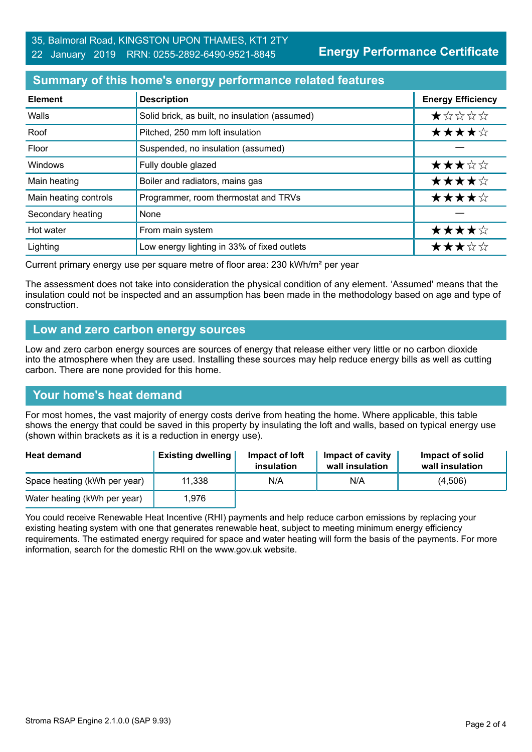**Energy Performance Certificate**

# **Summary of this home's energy performance related features**

| <b>Element</b>        | <b>Description</b>                             | <b>Energy Efficiency</b> |
|-----------------------|------------------------------------------------|--------------------------|
| Walls                 | Solid brick, as built, no insulation (assumed) | $\star$ * * * *          |
| Roof                  | Pitched, 250 mm loft insulation                | ★★★★☆                    |
| Floor                 | Suspended, no insulation (assumed)             |                          |
| <b>Windows</b>        | Fully double glazed                            | ★★★☆☆                    |
| Main heating          | Boiler and radiators, mains gas                | ★★★★☆                    |
| Main heating controls | Programmer, room thermostat and TRVs           | ★★★★☆                    |
| Secondary heating     | None                                           |                          |
| Hot water             | From main system                               | ★★★★☆                    |
| Lighting              | Low energy lighting in 33% of fixed outlets    | ★★★☆☆                    |

Current primary energy use per square metre of floor area: 230 kWh/m² per year

The assessment does not take into consideration the physical condition of any element. 'Assumed' means that the insulation could not be inspected and an assumption has been made in the methodology based on age and type of construction.

#### **Low and zero carbon energy sources**

Low and zero carbon energy sources are sources of energy that release either very little or no carbon dioxide into the atmosphere when they are used. Installing these sources may help reduce energy bills as well as cutting carbon. There are none provided for this home.

# **Your home's heat demand**

For most homes, the vast majority of energy costs derive from heating the home. Where applicable, this table shows the energy that could be saved in this property by insulating the loft and walls, based on typical energy use (shown within brackets as it is a reduction in energy use).

| <b>Heat demand</b>           | <b>Existing dwelling</b> | Impact of loft<br>insulation | Impact of cavity<br>wall insulation | Impact of solid<br>wall insulation |
|------------------------------|--------------------------|------------------------------|-------------------------------------|------------------------------------|
| Space heating (kWh per year) | 11,338                   | N/A                          | N/A                                 | (4,506)                            |
| Water heating (kWh per year) | 1,976                    |                              |                                     |                                    |

You could receive Renewable Heat Incentive (RHI) payments and help reduce carbon emissions by replacing your existing heating system with one that generates renewable heat, subject to meeting minimum energy efficiency requirements. The estimated energy required for space and water heating will form the basis of the payments. For more information, search for the domestic RHI on the www.gov.uk website.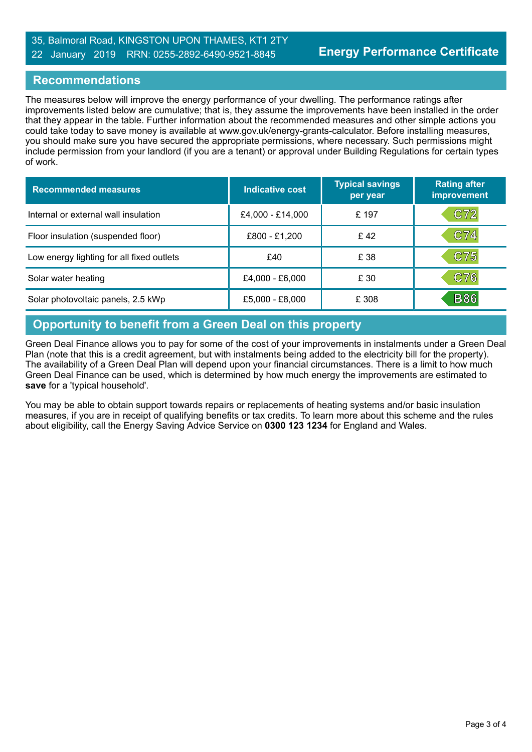#### 35, Balmoral Road, KINGSTON UPON THAMES, KT1 2TY 22 January 2019 RRN: 0255-2892-6490-9521-8845

### **Recommendations**

The measures below will improve the energy performance of your dwelling. The performance ratings after improvements listed below are cumulative; that is, they assume the improvements have been installed in the order that they appear in the table. Further information about the recommended measures and other simple actions you could take today to save money is available at www.gov.uk/energy-grants-calculator. Before installing measures, you should make sure you have secured the appropriate permissions, where necessary. Such permissions might include permission from your landlord (if you are a tenant) or approval under Building Regulations for certain types of work.

| <b>Recommended measures</b>               | Indicative cost   | <b>Typical savings</b><br>per year | <b>Rating after</b><br>improvement |
|-------------------------------------------|-------------------|------------------------------------|------------------------------------|
| Internal or external wall insulation      | £4,000 - £14,000  | £197                               | C72                                |
| Floor insulation (suspended floor)        | £800 - £1,200     | £42                                | C74                                |
| Low energy lighting for all fixed outlets | £40               | £ 38                               | C75                                |
| Solar water heating                       | $£4,000 - £6,000$ | £ 30                               | C76                                |
| Solar photovoltaic panels, 2.5 kWp        | £5,000 - £8,000   | £ 308                              | <b>B86</b>                         |

# **Opportunity to benefit from a Green Deal on this property**

Green Deal Finance allows you to pay for some of the cost of your improvements in instalments under a Green Deal Plan (note that this is a credit agreement, but with instalments being added to the electricity bill for the property). The availability of a Green Deal Plan will depend upon your financial circumstances. There is a limit to how much Green Deal Finance can be used, which is determined by how much energy the improvements are estimated to **save** for a 'typical household'.

You may be able to obtain support towards repairs or replacements of heating systems and/or basic insulation measures, if you are in receipt of qualifying benefits or tax credits. To learn more about this scheme and the rules about eligibility, call the Energy Saving Advice Service on **0300 123 1234** for England and Wales.